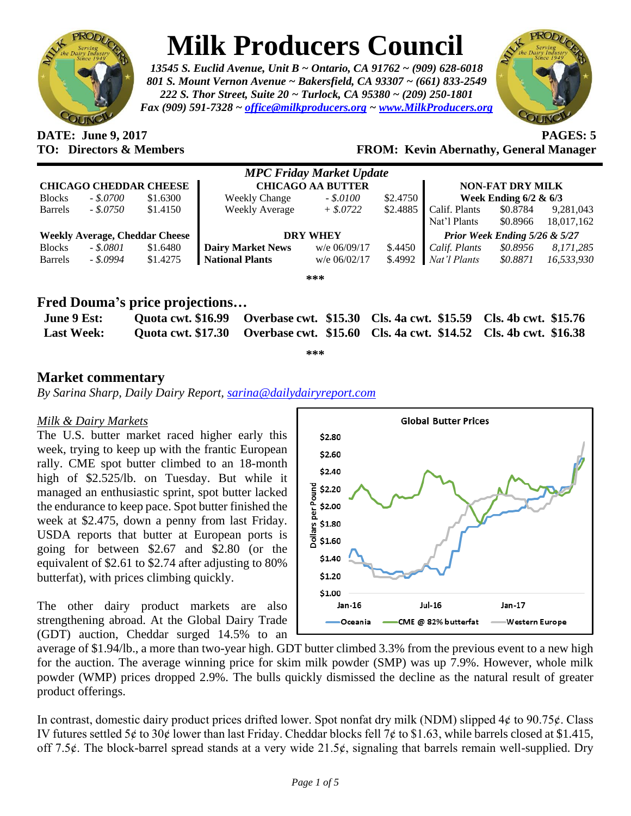

# **Milk Producers Council**

*13545 S. Euclid Avenue, Unit B ~ Ontario, CA 91762 ~ (909) 628-6018 801 S. Mount Vernon Avenue ~ Bakersfield, CA 93307 ~ (661) 833-2549 222 S. Thor Street, Suite 20 ~ Turlock, CA 95380 ~ (209) 250-1801 Fax (909) 591-7328 ~ [office@milkproducers.org](mailto:office@milkproducers.org) ~ [www.MilkProducers.org](http://www.milkproducers.org/)*



**DATE: June 9, 2017 PAGES: 5**

## **TO: Directors & Members FROM: Kevin Abernathy, General Manager**

|                                       |              |          |                          | <b>MPC Friday Market Update</b> |          |                               |          |            |
|---------------------------------------|--------------|----------|--------------------------|---------------------------------|----------|-------------------------------|----------|------------|
| <b>CHICAGO CHEDDAR CHEESE</b>         |              |          | <b>CHICAGO AA BUTTER</b> |                                 |          | <b>NON-FAT DRY MILK</b>       |          |            |
| <b>Blocks</b>                         | $-.50700$    | \$1.6300 | <b>Weekly Change</b>     | $-.$ \$.0100                    | \$2.4750 | Week Ending $6/2 \& 6/3$      |          |            |
| <b>Barrels</b>                        | $-.8.0750$   | \$1.4150 | <b>Weekly Average</b>    | $+$ \$.0722                     | \$2.4885 | Calif. Plants                 | \$0.8784 | 9,281,043  |
|                                       |              |          |                          |                                 |          | Nat'l Plants                  | \$0.8966 | 18,017,162 |
| <b>Weekly Average, Cheddar Cheese</b> |              |          | <b>DRY WHEY</b>          |                                 |          | Prior Week Ending 5/26 & 5/27 |          |            |
| <b>Blocks</b>                         | $-.5.0801$   | \$1.6480 | <b>Dairy Market News</b> | w/e 06/09/17                    | \$.4450  | Calif. Plants                 | \$0.8956 | 8,171,285  |
| <b>Barrels</b>                        | $-.$ \$.0994 | \$1.4275 | <b>National Plants</b>   | $w/e$ 06/02/17                  | \$.4992  | Nat'l Plants                  | \$0.8871 | 16,533,930 |
|                                       |              |          |                          | ***                             |          |                               |          |            |

## **Fred Douma's price projections…**

| <b>June 9 Est:</b> | Quota cwt. \$16.99 Overbase cwt. \$15.30 Cls. 4a cwt. \$15.59 Cls. 4b cwt. \$15.76 |  |
|--------------------|------------------------------------------------------------------------------------|--|
| <b>Last Week:</b>  | Quota cwt. \$17.30 Overbase cwt. \$15.60 Cls. 4a cwt. \$14.52 Cls. 4b cwt. \$16.38 |  |

**\*\*\***

## **Market commentary**

*By Sarina Sharp, Daily Dairy Report, [sarina@dailydairyreport.com](mailto:sarina@dailydairyreport.com)*

#### *Milk & Dairy Markets*

The U.S. butter market raced higher early this week, trying to keep up with the frantic European rally. CME spot butter climbed to an 18-month high of \$2.525/lb. on Tuesday. But while it managed an enthusiastic sprint, spot butter lacked the endurance to keep pace. Spot butter finished the week at \$2.475, down a penny from last Friday. USDA reports that butter at European ports is going for between \$2.67 and \$2.80 (or the equivalent of \$2.61 to \$2.74 after adjusting to 80% butterfat), with prices climbing quickly.

The other dairy product markets are also strengthening abroad. At the Global Dairy Trade (GDT) auction, Cheddar surged 14.5% to an



average of \$1.94/lb., a more than two-year high. GDT butter climbed 3.3% from the previous event to a new high for the auction. The average winning price for skim milk powder (SMP) was up 7.9%. However, whole milk powder (WMP) prices dropped 2.9%. The bulls quickly dismissed the decline as the natural result of greater product offerings.

In contrast, domestic dairy product prices drifted lower. Spot nonfat dry milk (NDM) slipped  $4¢$  to  $90.75¢$ . Class IV futures settled  $5¢$  to  $30¢$  lower than last Friday. Cheddar blocks fell  $7¢$  to \$1.63, while barrels closed at \$1.415, off 7.5 $\phi$ . The block-barrel spread stands at a very wide 21.5 $\phi$ , signaling that barrels remain well-supplied. Dry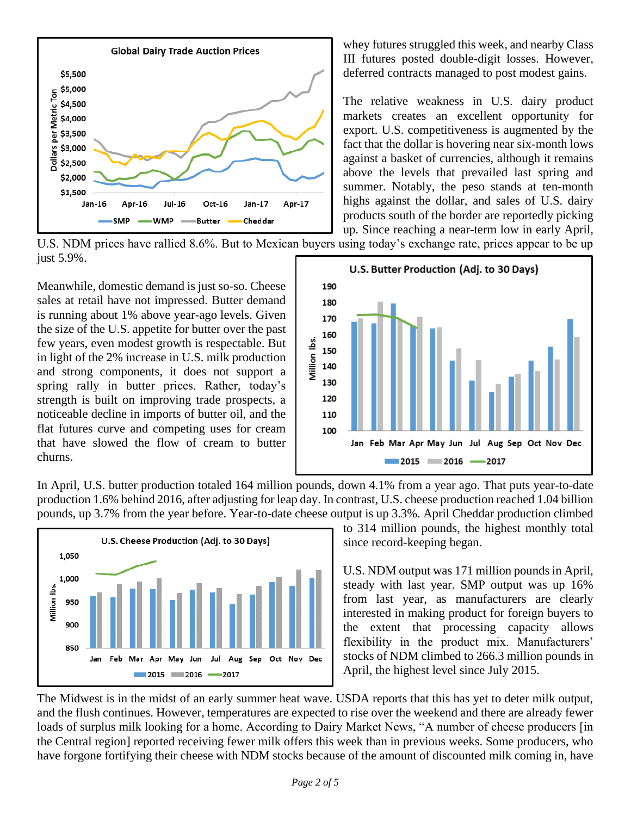

whey futures struggled this week, and nearby Class III futures posted double-digit losses. However, deferred contracts managed to post modest gains.

The relative weakness in U.S. dairy product markets creates an excellent opportunity for export. U.S. competitiveness is augmented by the fact that the dollar is hovering near six-month lows against a basket of currencies, although it remains above the levels that prevailed last spring and summer. Notably, the peso stands at ten-month highs against the dollar, and sales of U.S. dairy products south of the border are reportedly picking up. Since reaching a near-term low in early April,

U.S. NDM prices have rallied 8.6%. But to Mexican buyers using today's exchange rate, prices appear to be up just 5.9%.

Meanwhile, domestic demand is just so-so. Cheese sales at retail have not impressed. Butter demand is running about 1% above year-ago levels. Given the size of the U.S. appetite for butter over the past few years, even modest growth is respectable. But in light of the 2% increase in U.S. milk production and strong components, it does not support a spring rally in butter prices. Rather, today's strength is built on improving trade prospects, a noticeable decline in imports of butter oil, and the flat futures curve and competing uses for cream that have slowed the flow of cream to butter churns.



In April, U.S. butter production totaled 164 million pounds, down 4.1% from a year ago. That puts year-to-date production 1.6% behind 2016, after adjusting for leap day. In contrast, U.S. cheese production reached 1.04 billion pounds, up 3.7% from the year before. Year-to-date cheese output is up 3.3%. April Cheddar production climbed



to 314 million pounds, the highest monthly total since record-keeping began.

U.S. NDM output was 171 million pounds in April, steady with last year. SMP output was up 16% from last year, as manufacturers are clearly interested in making product for foreign buyers to the extent that processing capacity allows flexibility in the product mix. Manufacturers' stocks of NDM climbed to 266.3 million pounds in April, the highest level since July 2015.

The Midwest is in the midst of an early summer heat wave. USDA reports that this has yet to deter milk output, and the flush continues. However, temperatures are expected to rise over the weekend and there are already fewer loads of surplus milk looking for a home. According to Dairy Market News, "A number of cheese producers [in the Central region] reported receiving fewer milk offers this week than in previous weeks. Some producers, who have forgone fortifying their cheese with NDM stocks because of the amount of discounted milk coming in, have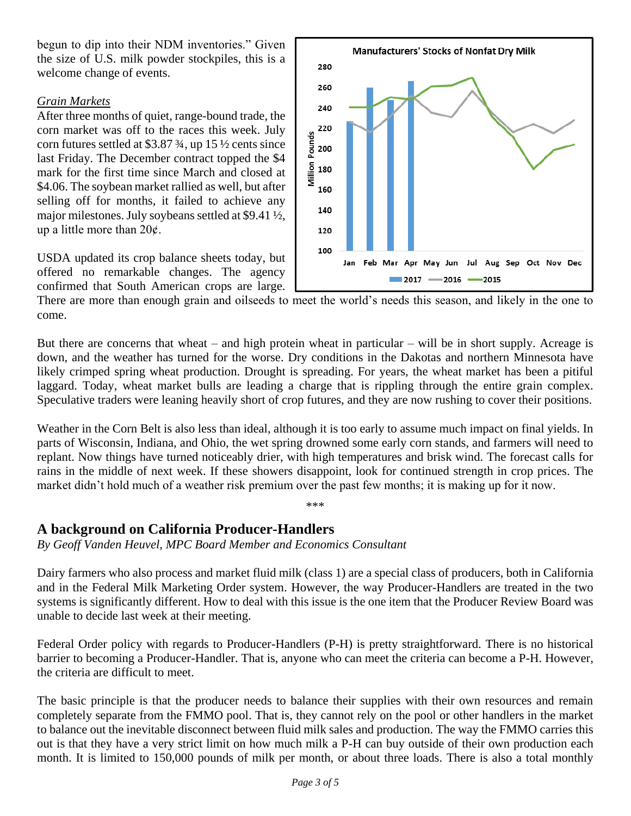begun to dip into their NDM inventories." Given the size of U.S. milk powder stockpiles, this is a welcome change of events.

#### *Grain Markets*

After three months of quiet, range-bound trade, the corn market was off to the races this week. July corn futures settled at \$3.87 $\frac{3}{4}$ , up 15 $\frac{1}{2}$  cents since last Friday. The December contract topped the \$4 mark for the first time since March and closed at \$4.06. The soybean market rallied as well, but after selling off for months, it failed to achieve any major milestones. July soybeans settled at \$9.41 ½, up a little more than  $20¢$ .

USDA updated its crop balance sheets today, but offered no remarkable changes. The agency confirmed that South American crops are large.



There are more than enough grain and oilseeds to meet the world's needs this season, and likely in the one to come.

But there are concerns that wheat – and high protein wheat in particular – will be in short supply. Acreage is down, and the weather has turned for the worse. Dry conditions in the Dakotas and northern Minnesota have likely crimped spring wheat production. Drought is spreading. For years, the wheat market has been a pitiful laggard. Today, wheat market bulls are leading a charge that is rippling through the entire grain complex. Speculative traders were leaning heavily short of crop futures, and they are now rushing to cover their positions.

Weather in the Corn Belt is also less than ideal, although it is too early to assume much impact on final yields. In parts of Wisconsin, Indiana, and Ohio, the wet spring drowned some early corn stands, and farmers will need to replant. Now things have turned noticeably drier, with high temperatures and brisk wind. The forecast calls for rains in the middle of next week. If these showers disappoint, look for continued strength in crop prices. The market didn't hold much of a weather risk premium over the past few months; it is making up for it now.

\*\*\*

# **A background on California Producer-Handlers**

*By Geoff Vanden Heuvel, MPC Board Member and Economics Consultant*

Dairy farmers who also process and market fluid milk (class 1) are a special class of producers, both in California and in the Federal Milk Marketing Order system. However, the way Producer-Handlers are treated in the two systems is significantly different. How to deal with this issue is the one item that the Producer Review Board was unable to decide last week at their meeting.

Federal Order policy with regards to Producer-Handlers (P-H) is pretty straightforward. There is no historical barrier to becoming a Producer-Handler. That is, anyone who can meet the criteria can become a P-H. However, the criteria are difficult to meet.

The basic principle is that the producer needs to balance their supplies with their own resources and remain completely separate from the FMMO pool. That is, they cannot rely on the pool or other handlers in the market to balance out the inevitable disconnect between fluid milk sales and production. The way the FMMO carries this out is that they have a very strict limit on how much milk a P-H can buy outside of their own production each month. It is limited to 150,000 pounds of milk per month, or about three loads. There is also a total monthly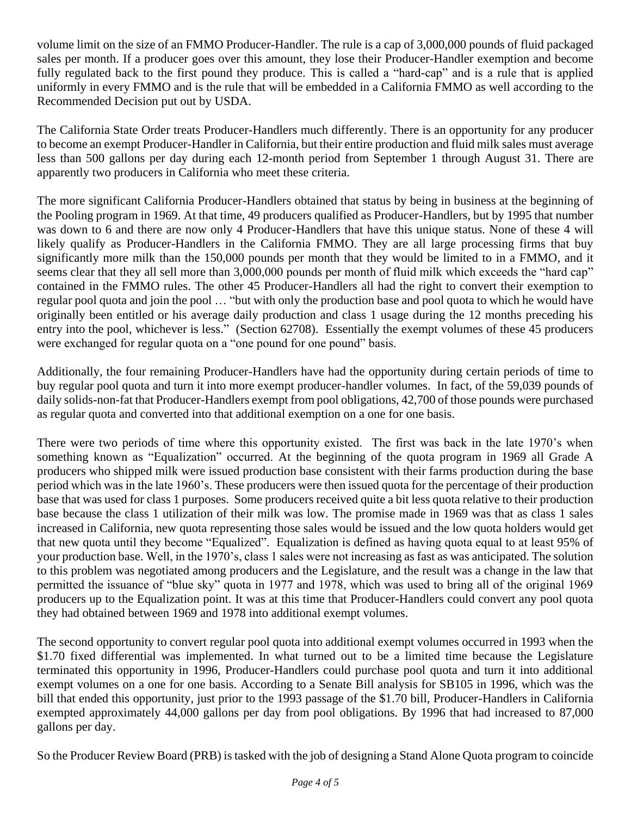volume limit on the size of an FMMO Producer-Handler. The rule is a cap of 3,000,000 pounds of fluid packaged sales per month. If a producer goes over this amount, they lose their Producer-Handler exemption and become fully regulated back to the first pound they produce. This is called a "hard-cap" and is a rule that is applied uniformly in every FMMO and is the rule that will be embedded in a California FMMO as well according to the Recommended Decision put out by USDA.

The California State Order treats Producer-Handlers much differently. There is an opportunity for any producer to become an exempt Producer-Handler in California, but their entire production and fluid milk sales must average less than 500 gallons per day during each 12-month period from September 1 through August 31. There are apparently two producers in California who meet these criteria.

The more significant California Producer-Handlers obtained that status by being in business at the beginning of the Pooling program in 1969. At that time, 49 producers qualified as Producer-Handlers, but by 1995 that number was down to 6 and there are now only 4 Producer-Handlers that have this unique status. None of these 4 will likely qualify as Producer-Handlers in the California FMMO. They are all large processing firms that buy significantly more milk than the 150,000 pounds per month that they would be limited to in a FMMO, and it seems clear that they all sell more than 3,000,000 pounds per month of fluid milk which exceeds the "hard cap" contained in the FMMO rules. The other 45 Producer-Handlers all had the right to convert their exemption to regular pool quota and join the pool … "but with only the production base and pool quota to which he would have originally been entitled or his average daily production and class 1 usage during the 12 months preceding his entry into the pool, whichever is less." (Section 62708). Essentially the exempt volumes of these 45 producers were exchanged for regular quota on a "one pound for one pound" basis.

Additionally, the four remaining Producer-Handlers have had the opportunity during certain periods of time to buy regular pool quota and turn it into more exempt producer-handler volumes. In fact, of the 59,039 pounds of daily solids-non-fat that Producer-Handlers exempt from pool obligations, 42,700 of those pounds were purchased as regular quota and converted into that additional exemption on a one for one basis.

There were two periods of time where this opportunity existed. The first was back in the late 1970's when something known as "Equalization" occurred. At the beginning of the quota program in 1969 all Grade A producers who shipped milk were issued production base consistent with their farms production during the base period which was in the late 1960's. These producers were then issued quota for the percentage of their production base that was used for class 1 purposes. Some producers received quite a bit less quota relative to their production base because the class 1 utilization of their milk was low. The promise made in 1969 was that as class 1 sales increased in California, new quota representing those sales would be issued and the low quota holders would get that new quota until they become "Equalized". Equalization is defined as having quota equal to at least 95% of your production base. Well, in the 1970's, class 1 sales were not increasing as fast as was anticipated. The solution to this problem was negotiated among producers and the Legislature, and the result was a change in the law that permitted the issuance of "blue sky" quota in 1977 and 1978, which was used to bring all of the original 1969 producers up to the Equalization point. It was at this time that Producer-Handlers could convert any pool quota they had obtained between 1969 and 1978 into additional exempt volumes.

The second opportunity to convert regular pool quota into additional exempt volumes occurred in 1993 when the \$1.70 fixed differential was implemented. In what turned out to be a limited time because the Legislature terminated this opportunity in 1996, Producer-Handlers could purchase pool quota and turn it into additional exempt volumes on a one for one basis. According to a Senate Bill analysis for SB105 in 1996, which was the bill that ended this opportunity, just prior to the 1993 passage of the \$1.70 bill, Producer-Handlers in California exempted approximately 44,000 gallons per day from pool obligations. By 1996 that had increased to 87,000 gallons per day.

So the Producer Review Board (PRB) is tasked with the job of designing a Stand Alone Quota program to coincide